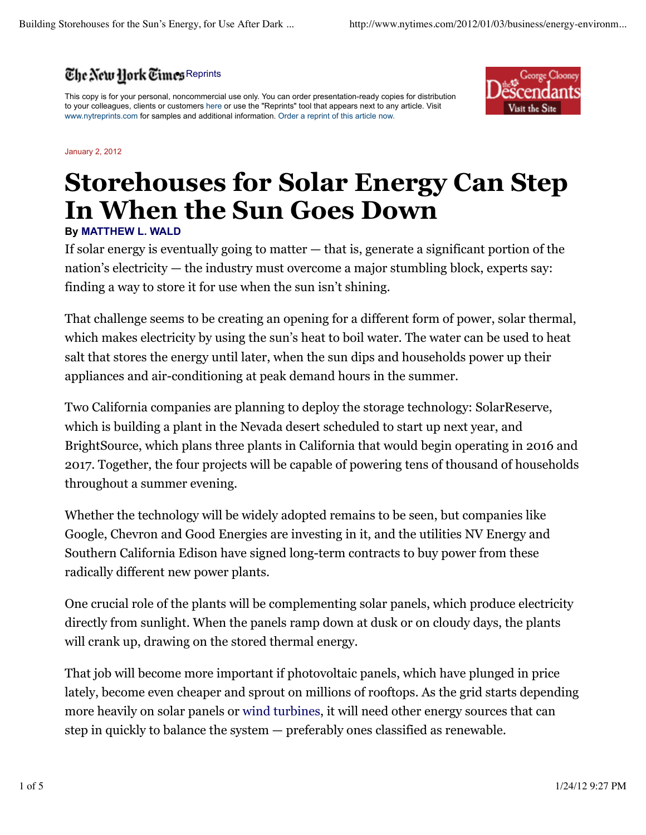

This copy is for your personal, noncommercial use only. You can order presentation-ready copies for distribution to your colleagues, clients or customers here or use the "Reprints" tool that appears next to any article. Visit www.nytreprints.com for samples and additional information. Order a reprint of this article now.



January 2, 2012

## **Storehouses for Solar Energy Can Step In When the Sun Goes Down**

## **By MATTHEW L. WALD**

If solar energy is eventually going to matter — that is, generate a significant portion of the nation's electricity — the industry must overcome a major stumbling block, experts say: finding a way to store it for use when the sun isn't shining.

That challenge seems to be creating an opening for a different form of power, solar thermal, which makes electricity by using the sun's heat to boil water. The water can be used to heat salt that stores the energy until later, when the sun dips and households power up their appliances and air-conditioning at peak demand hours in the summer.

Two California companies are planning to deploy the storage technology: SolarReserve, which is building a plant in the Nevada desert scheduled to start up next year, and BrightSource, which plans three plants in California that would begin operating in 2016 and 2017. Together, the four projects will be capable of powering tens of thousand of households throughout a summer evening.

Whether the technology will be widely adopted remains to be seen, but companies like Google, Chevron and Good Energies are investing in it, and the utilities NV Energy and Southern California Edison have signed long-term contracts to buy power from these radically different new power plants.

One crucial role of the plants will be complementing solar panels, which produce electricity directly from sunlight. When the panels ramp down at dusk or on cloudy days, the plants will crank up, drawing on the stored thermal energy.

That job will become more important if photovoltaic panels, which have plunged in price lately, become even cheaper and sprout on millions of rooftops. As the grid starts depending more heavily on solar panels or wind turbines, it will need other energy sources that can step in quickly to balance the system — preferably ones classified as renewable.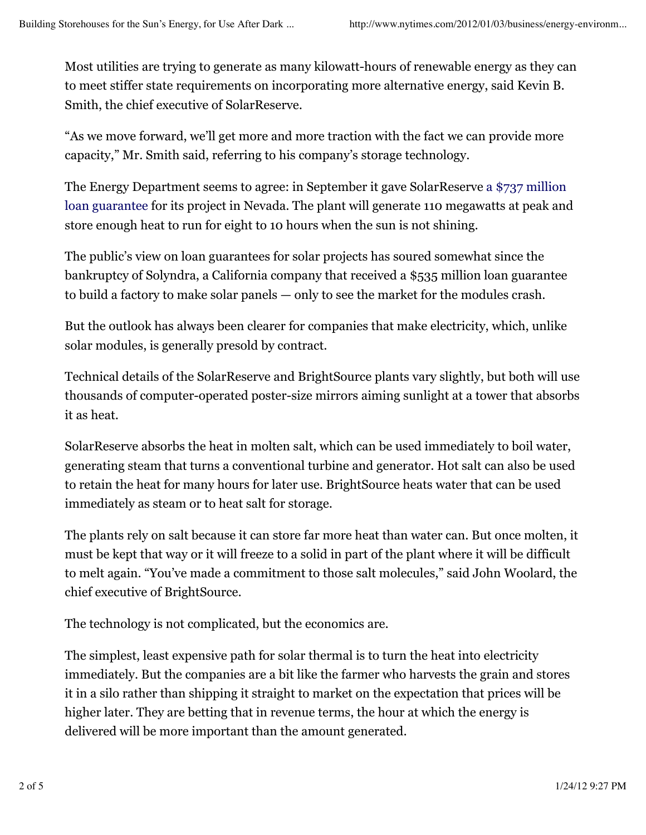Most utilities are trying to generate as many kilowatt-hours of renewable energy as they can to meet stiffer state requirements on incorporating more alternative energy, said Kevin B. Smith, the chief executive of SolarReserve.

"As we move forward, we'll get more and more traction with the fact we can provide more capacity," Mr. Smith said, referring to his company's storage technology.

The Energy Department seems to agree: in September it gave SolarReserve a \$737 million loan guarantee for its project in Nevada. The plant will generate 110 megawatts at peak and store enough heat to run for eight to 10 hours when the sun is not shining.

The public's view on loan guarantees for solar projects has soured somewhat since the bankruptcy of Solyndra, a California company that received a \$535 million loan guarantee to build a factory to make solar panels — only to see the market for the modules crash.

But the outlook has always been clearer for companies that make electricity, which, unlike solar modules, is generally presold by contract.

Technical details of the SolarReserve and BrightSource plants vary slightly, but both will use thousands of computer-operated poster-size mirrors aiming sunlight at a tower that absorbs it as heat.

SolarReserve absorbs the heat in molten salt, which can be used immediately to boil water, generating steam that turns a conventional turbine and generator. Hot salt can also be used to retain the heat for many hours for later use. BrightSource heats water that can be used immediately as steam or to heat salt for storage.

The plants rely on salt because it can store far more heat than water can. But once molten, it must be kept that way or it will freeze to a solid in part of the plant where it will be difficult to melt again. "You've made a commitment to those salt molecules," said John Woolard, the chief executive of BrightSource.

The technology is not complicated, but the economics are.

The simplest, least expensive path for solar thermal is to turn the heat into electricity immediately. But the companies are a bit like the farmer who harvests the grain and stores it in a silo rather than shipping it straight to market on the expectation that prices will be higher later. They are betting that in revenue terms, the hour at which the energy is delivered will be more important than the amount generated.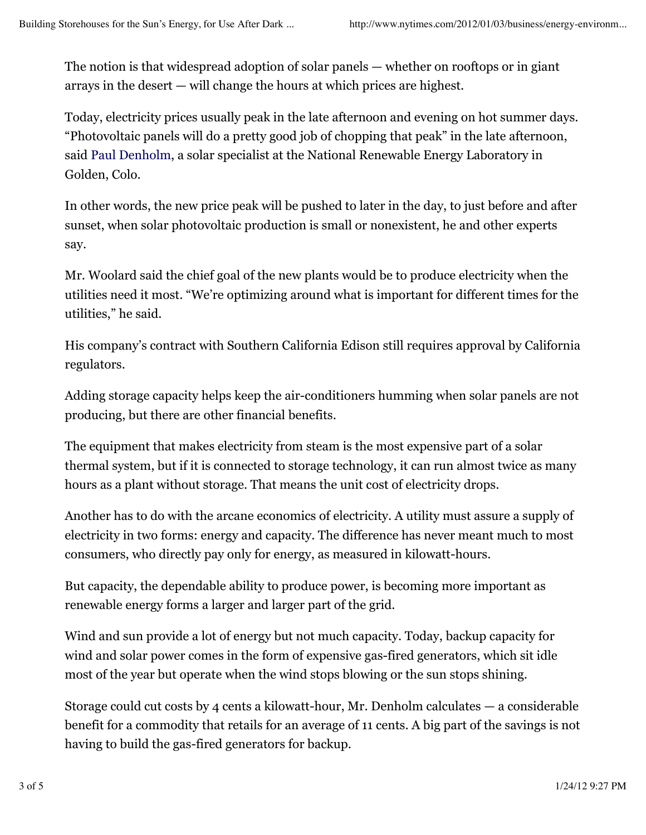The notion is that widespread adoption of solar panels — whether on rooftops or in giant arrays in the desert — will change the hours at which prices are highest.

Today, electricity prices usually peak in the late afternoon and evening on hot summer days. "Photovoltaic panels will do a pretty good job of chopping that peak" in the late afternoon, said Paul Denholm, a solar specialist at the National Renewable Energy Laboratory in Golden, Colo.

In other words, the new price peak will be pushed to later in the day, to just before and after sunset, when solar photovoltaic production is small or nonexistent, he and other experts say.

Mr. Woolard said the chief goal of the new plants would be to produce electricity when the utilities need it most. "We're optimizing around what is important for different times for the utilities," he said.

His company's contract with Southern California Edison still requires approval by California regulators.

Adding storage capacity helps keep the air-conditioners humming when solar panels are not producing, but there are other financial benefits.

The equipment that makes electricity from steam is the most expensive part of a solar thermal system, but if it is connected to storage technology, it can run almost twice as many hours as a plant without storage. That means the unit cost of electricity drops.

Another has to do with the arcane economics of electricity. A utility must assure a supply of electricity in two forms: energy and capacity. The difference has never meant much to most consumers, who directly pay only for energy, as measured in kilowatt-hours.

But capacity, the dependable ability to produce power, is becoming more important as renewable energy forms a larger and larger part of the grid.

Wind and sun provide a lot of energy but not much capacity. Today, backup capacity for wind and solar power comes in the form of expensive gas-fired generators, which sit idle most of the year but operate when the wind stops blowing or the sun stops shining.

Storage could cut costs by 4 cents a kilowatt-hour, Mr. Denholm calculates — a considerable benefit for a commodity that retails for an average of 11 cents. A big part of the savings is not having to build the gas-fired generators for backup.